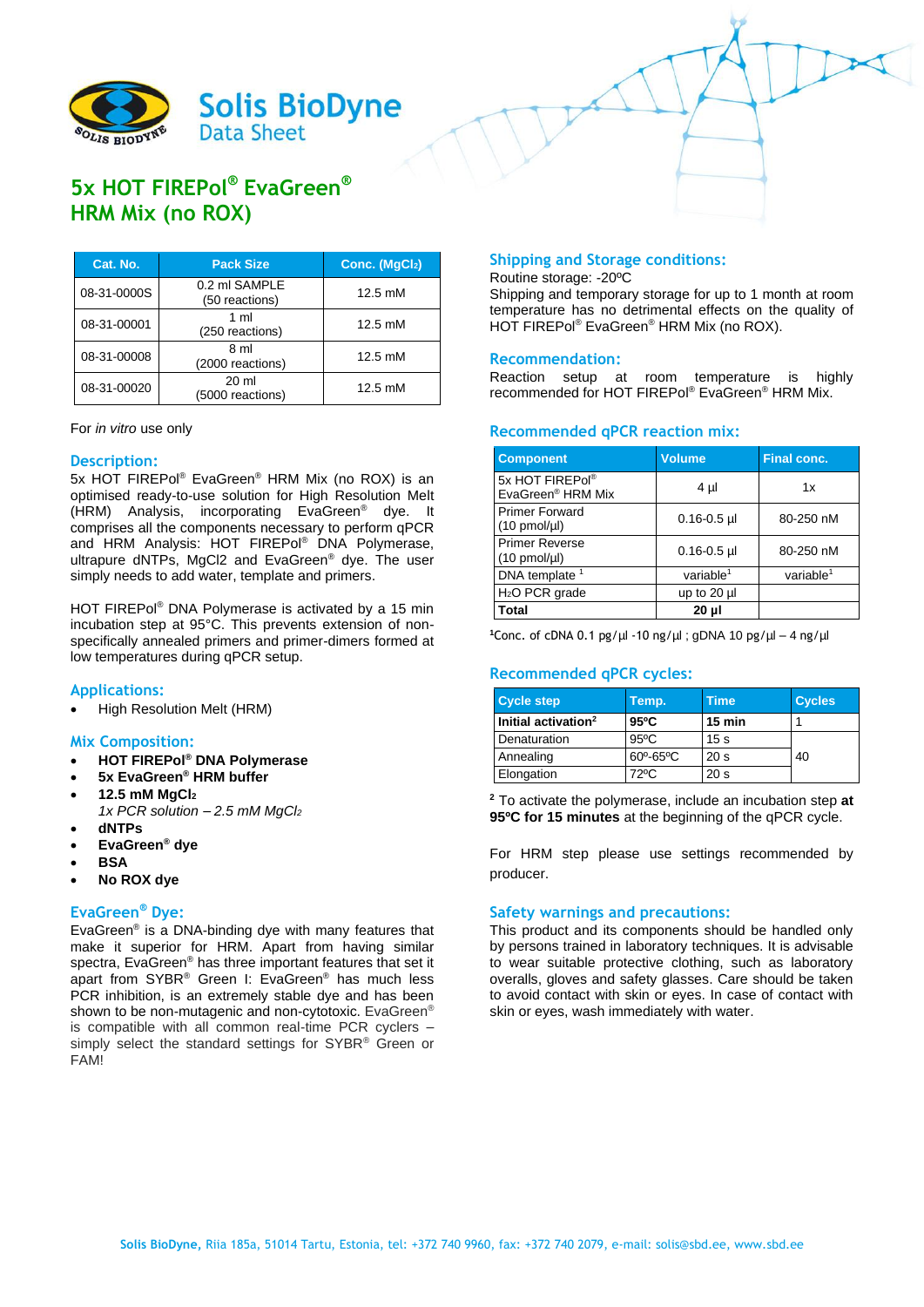

# **5x HOT FIREPol® EvaGreen® HRM Mix (no ROX)**

| Cat. No.    | <b>Pack Size</b>                     | Conc. (MgCl2) |
|-------------|--------------------------------------|---------------|
| 08-31-0000S | 0.2 ml SAMPLE<br>(50 reactions)      | 12.5 mM       |
| 08-31-00001 | 1 ml<br>(250 reactions)              | 12.5 mM       |
| 08-31-00008 | 8 ml<br>(2000 reactions)             | 12.5 mM       |
| 08-31-00020 | $20 \mathrm{ml}$<br>(5000 reactions) | 12.5 mM       |

## For *in vitro* use only

# **Description:**

5x HOT FIREPol<sup>®</sup> EvaGreen<sup>®</sup> HRM Mix (no ROX) is an optimised ready-to-use solution for High Resolution Melt (HRM) Analysis, incorporating EvaGreen® dye. It comprises all the components necessary to perform qPCR and HRM Analysis: HOT FIREPol® DNA Polymerase, ultrapure dNTPs, MgCl2 and EvaGreen® dye. The user simply needs to add water, template and primers.

HOT FIREPol® DNA Polymerase is activated by a 15 min incubation step at 95°C. This prevents extension of nonspecifically annealed primers and primer-dimers formed at low temperatures during qPCR setup.

# **Applications:**

High Resolution Melt (HRM)

## **Mix Composition:**

- **HOT FIREPol® DNA Polymerase**
- **5x EvaGreen® HRM buffer**
- **12.5 mM MgCl<sup>2</sup>**
- *1x PCR solution – 2.5 mM MgCl<sup>2</sup>*
- **dNTPs**
- **EvaGreen® dye**
- **BSA**
- **No ROX dye**

# **EvaGreen® Dye:**

EvaGreen® is a DNA-binding dye with many features that make it superior for HRM. Apart from having similar spectra, EvaGreen® has three important features that set it apart from SYBR® Green I: EvaGreen® has much less PCR inhibition, is an extremely stable dye and has been shown to be non-mutagenic and non-cytotoxic. EvaGreen<sup>®</sup> is compatible with all common real-time PCR cyclers – simply select the standard settings for SYBR® Green or FAM!

# **Shipping and Storage conditions:**

Routine storage: -20ºC

Shipping and temporary storage for up to 1 month at room temperature has no detrimental effects on the quality of HOT FIREPol® EvaGreen® HRM Mix (no ROX).

## **Recommendation:**

Reaction setup at room temperature is highly recommended for HOT FIREPol ® EvaGreen® HRM Mix.

## **Recommended qPCR reaction mix:**

| <b>Component</b>                                   | <b>Volume</b>         | <b>Final conc.</b> |  |
|----------------------------------------------------|-----------------------|--------------------|--|
| 5x HOT FIREPol®<br>EvaGreen <sup>®</sup> HRM Mix   | 4 µl                  | 1x                 |  |
| <b>Primer Forward</b><br>$(10 \text{ pmol/}\mu l)$ | $0.16 - 0.5$ µl       | 80-250 nM          |  |
| <b>Primer Reverse</b><br>$(10 \text{ pmol/}\mu l)$ | $0.16 - 0.5$ µl       | 80-250 nM          |  |
| DNA template <sup>1</sup>                          | variable <sup>1</sup> | variable $1$       |  |
| H <sub>2</sub> O PCR grade                         | up to 20 µl           |                    |  |
| Total                                              | $20 \mu$              |                    |  |

<sup>1</sup>Conc. of cDNA 0.1 pg/ $\mu$ l -10 ng/ $\mu$ l; gDNA 10 pg/ $\mu$ l – 4 ng/ $\mu$ l

# **Recommended qPCR cycles:**

| <b>Cycle step</b>               | Temp.                      | Time             | <b>Cycles</b> |
|---------------------------------|----------------------------|------------------|---------------|
| Initial activation <sup>2</sup> | $95^{\circ}$ C             | $15 \text{ min}$ |               |
| Denaturation                    | $95^{\circ}$ C             | 15 <sub>s</sub>  |               |
| Annealing                       | $60^{\circ} - 65^{\circ}C$ | 20 <sub>s</sub>  | 40            |
| Elongation                      | 72°C                       | 20 <sub>s</sub>  |               |

**<sup>2</sup>** To activate the polymerase, include an incubation step **at 95ºC for 15 minutes** at the beginning of the qPCR cycle.

For HRM step please use settings recommended by producer.

#### **Safety warnings and precautions:**

This product and its components should be handled only by persons trained in laboratory techniques. It is advisable to wear suitable protective clothing, such as laboratory overalls, gloves and safety glasses. Care should be taken to avoid contact with skin or eyes. In case of contact with skin or eyes, wash immediately with water.